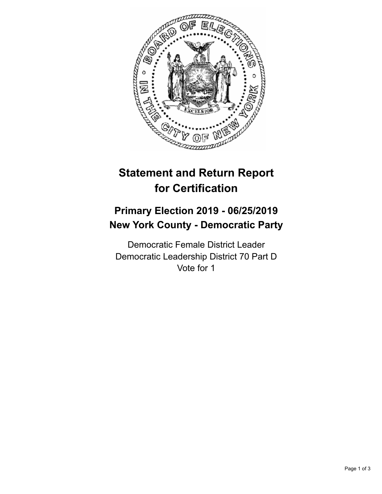

## **Statement and Return Report for Certification**

## **Primary Election 2019 - 06/25/2019 New York County - Democratic Party**

Democratic Female District Leader Democratic Leadership District 70 Part D Vote for 1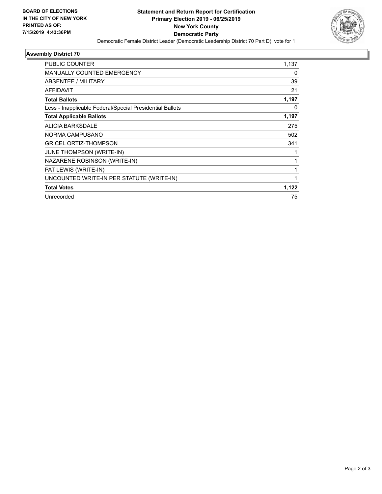

## **Assembly District 70**

| PUBLIC COUNTER                                           | 1,137 |
|----------------------------------------------------------|-------|
| <b>MANUALLY COUNTED EMERGENCY</b>                        | 0     |
| ABSENTEE / MILITARY                                      | 39    |
| AFFIDAVIT                                                | 21    |
| <b>Total Ballots</b>                                     | 1,197 |
| Less - Inapplicable Federal/Special Presidential Ballots | 0     |
| <b>Total Applicable Ballots</b>                          | 1,197 |
| ALICIA BARKSDALE                                         | 275   |
| NORMA CAMPUSANO                                          | 502   |
| <b>GRICEL ORTIZ-THOMPSON</b>                             | 341   |
| JUNE THOMPSON (WRITE-IN)                                 | 1     |
| NAZARENE ROBINSON (WRITE-IN)                             | 1     |
| PAT LEWIS (WRITE-IN)                                     | 1     |
| UNCOUNTED WRITE-IN PER STATUTE (WRITE-IN)                | 1     |
| <b>Total Votes</b>                                       | 1,122 |
| Unrecorded                                               | 75    |